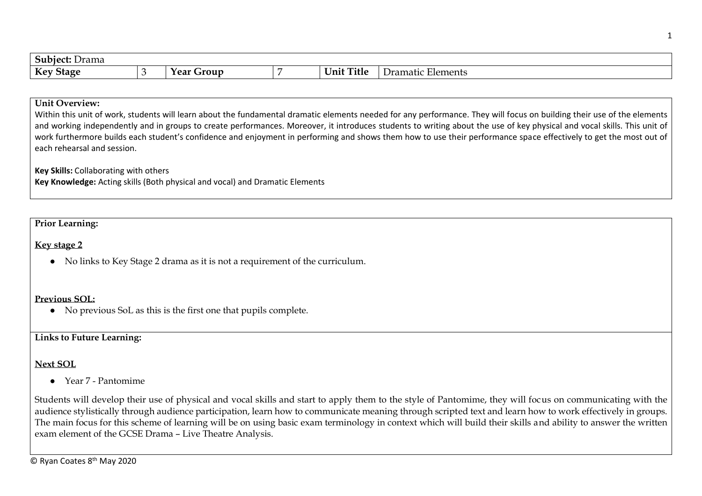| $\sqrt{2}$<br><b>Subject:</b> Drama |                      |                                      |                                      |
|-------------------------------------|----------------------|--------------------------------------|--------------------------------------|
| Key<br><b>Stage</b>                 | ٬۵۹۴<br>Grout<br>тса | $\mathbf{r}$<br><b>Title</b><br>Unit | $\mathbf{r}$<br>Elements<br>framatic |

### **Unit Overview:**

Within this unit of work, students will learn about the fundamental dramatic elements needed for any performance. They will focus on building their use of the elements and working independently and in groups to create performances. Moreover, it introduces students to writing about the use of key physical and vocal skills. This unit of work furthermore builds each student's confidence and enjoyment in performing and shows them how to use their performance space effectively to get the most out of each rehearsal and session.

**Key Skills:** Collaborating with others

**Key Knowledge:** Acting skills (Both physical and vocal) and Dramatic Elements

## **Prior Learning:**

#### **Key stage 2**

● No links to Key Stage 2 drama as it is not a requirement of the curriculum.

#### **Previous SOL:**

● No previous SoL as this is the first one that pupils complete.

# **Links to Future Learning:**

# **Next SOL**

● Year 7 - Pantomime

Students will develop their use of physical and vocal skills and start to apply them to the style of Pantomime, they will focus on communicating with the audience stylistically through audience participation, learn how to communicate meaning through scripted text and learn how to work effectively in groups. The main focus for this scheme of learning will be on using basic exam terminology in context which will build their skills and ability to answer the written exam element of the GCSE Drama – Live Theatre Analysis.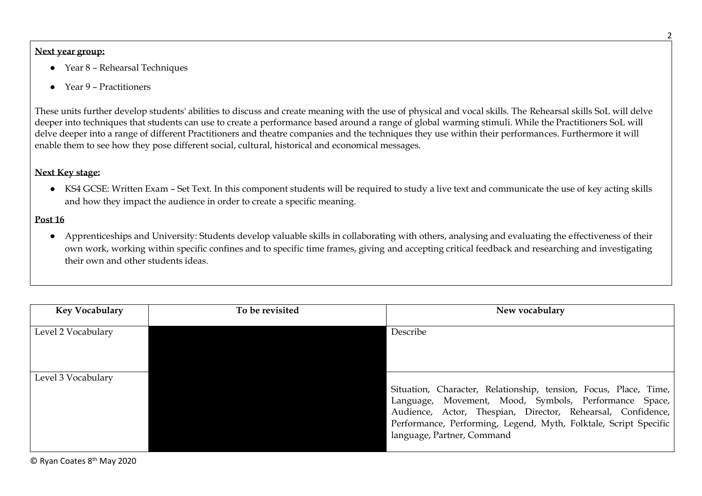## **Next year group:**

- Year 8 Rehearsal Techniques
- Year 9 Practitioners

These units further develop students' abilities to discuss and create meaning with the use of physical and vocal skills. The Rehearsal skills SoL will delve deeper into techniques that students can use to create a performance based around a range of global warming stimuli. While the Practitioners SoL will delve deeper into a range of different Practitioners and theatre companies and the techniques they use within their performances. Furthermore it will enable them to see how they pose different social, cultural, historical and economical messages.

# **Next Key stage:**

● KS4 GCSE: Written Exam – Set Text. In this component students will be required to study a live text and communicate the use of key acting skills and how they impact the audience in order to create a specific meaning.

## **Post 16**

● Apprenticeships and University: Students develop valuable skills in collaborating with others, analysing and evaluating the effectiveness of their own work, working within specific confines and to specific time frames, giving and accepting critical feedback and researching and investigating their own and other students ideas.

| Key Vocabulary     | To be revisited | New vocabulary                                                                                                                                                                                                                                                                             |
|--------------------|-----------------|--------------------------------------------------------------------------------------------------------------------------------------------------------------------------------------------------------------------------------------------------------------------------------------------|
| Level 2 Vocabulary |                 | Describe                                                                                                                                                                                                                                                                                   |
| Level 3 Vocabulary |                 | Situation, Character, Relationship, tension, Focus, Place, Time,<br>Language, Movement, Mood, Symbols, Performance Space,<br>Audience, Actor, Thespian, Director, Rehearsal, Confidence,<br>Performance, Performing, Legend, Myth, Folktale, Script Specific<br>language, Partner, Command |

© Ryan Coates 8th May 2020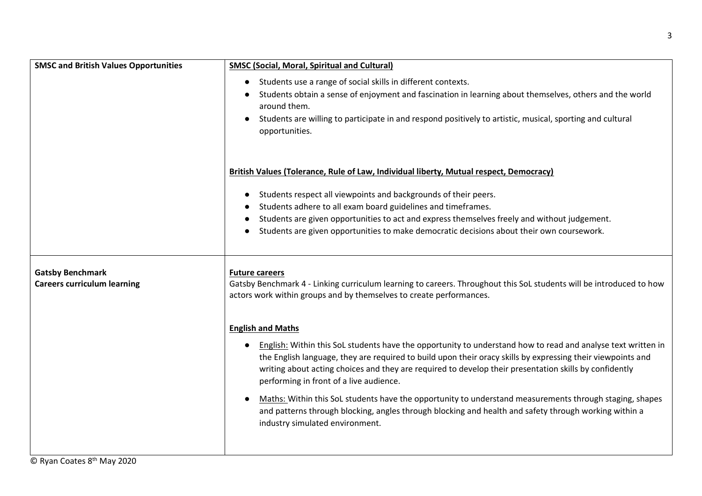| <b>SMSC and British Values Opportunities</b>                  | <b>SMSC (Social, Moral, Spiritual and Cultural)</b>                                                                                                                                                                                                                                                                                                                              |  |  |  |  |  |
|---------------------------------------------------------------|----------------------------------------------------------------------------------------------------------------------------------------------------------------------------------------------------------------------------------------------------------------------------------------------------------------------------------------------------------------------------------|--|--|--|--|--|
|                                                               | Students use a range of social skills in different contexts.<br>$\bullet$                                                                                                                                                                                                                                                                                                        |  |  |  |  |  |
|                                                               | Students obtain a sense of enjoyment and fascination in learning about themselves, others and the world<br>around them.                                                                                                                                                                                                                                                          |  |  |  |  |  |
|                                                               | Students are willing to participate in and respond positively to artistic, musical, sporting and cultural<br>opportunities.                                                                                                                                                                                                                                                      |  |  |  |  |  |
|                                                               | British Values (Tolerance, Rule of Law, Individual liberty, Mutual respect, Democracy)                                                                                                                                                                                                                                                                                           |  |  |  |  |  |
|                                                               | Students respect all viewpoints and backgrounds of their peers.<br>$\bullet$                                                                                                                                                                                                                                                                                                     |  |  |  |  |  |
|                                                               | Students adhere to all exam board guidelines and timeframes.                                                                                                                                                                                                                                                                                                                     |  |  |  |  |  |
|                                                               | Students are given opportunities to act and express themselves freely and without judgement.                                                                                                                                                                                                                                                                                     |  |  |  |  |  |
|                                                               | Students are given opportunities to make democratic decisions about their own coursework.                                                                                                                                                                                                                                                                                        |  |  |  |  |  |
| <b>Gatsby Benchmark</b><br><b>Careers curriculum learning</b> | <b>Future careers</b><br>Gatsby Benchmark 4 - Linking curriculum learning to careers. Throughout this SoL students will be introduced to how<br>actors work within groups and by themselves to create performances.                                                                                                                                                              |  |  |  |  |  |
|                                                               | <b>English and Maths</b>                                                                                                                                                                                                                                                                                                                                                         |  |  |  |  |  |
|                                                               | English: Within this SoL students have the opportunity to understand how to read and analyse text written in<br>the English language, they are required to build upon their oracy skills by expressing their viewpoints and<br>writing about acting choices and they are required to develop their presentation skills by confidently<br>performing in front of a live audience. |  |  |  |  |  |
|                                                               | Maths: Within this SoL students have the opportunity to understand measurements through staging, shapes<br>and patterns through blocking, angles through blocking and health and safety through working within a<br>industry simulated environment.                                                                                                                              |  |  |  |  |  |
|                                                               |                                                                                                                                                                                                                                                                                                                                                                                  |  |  |  |  |  |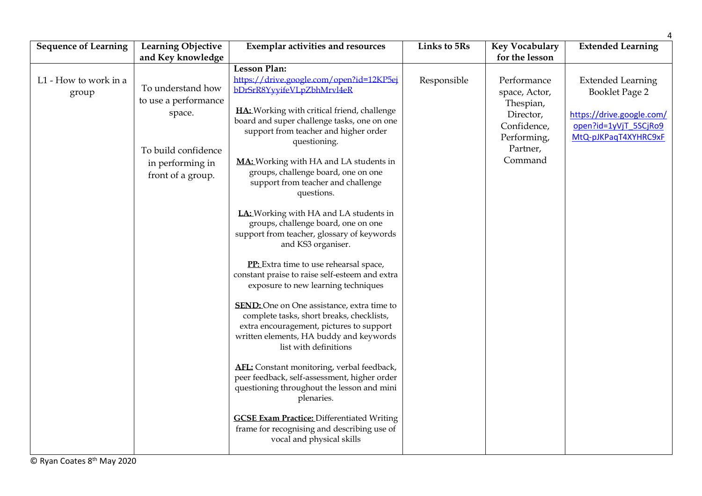| <b>Sequence of Learning</b>    | <b>Learning Objective</b>                                                                                                                | <b>Exemplar activities and resources</b>                                                                                                                                                                                                                                                                                                                                                                                                                                                                                                                                                                                                                                                                                                                                                                                                                                                                                                                                                                                                                                                                                                                                                              | Links to 5Rs | <b>Key Vocabulary</b>                                                                                                         | <b>Extended Learning</b>                                                                                                        |
|--------------------------------|------------------------------------------------------------------------------------------------------------------------------------------|-------------------------------------------------------------------------------------------------------------------------------------------------------------------------------------------------------------------------------------------------------------------------------------------------------------------------------------------------------------------------------------------------------------------------------------------------------------------------------------------------------------------------------------------------------------------------------------------------------------------------------------------------------------------------------------------------------------------------------------------------------------------------------------------------------------------------------------------------------------------------------------------------------------------------------------------------------------------------------------------------------------------------------------------------------------------------------------------------------------------------------------------------------------------------------------------------------|--------------|-------------------------------------------------------------------------------------------------------------------------------|---------------------------------------------------------------------------------------------------------------------------------|
|                                |                                                                                                                                          |                                                                                                                                                                                                                                                                                                                                                                                                                                                                                                                                                                                                                                                                                                                                                                                                                                                                                                                                                                                                                                                                                                                                                                                                       |              |                                                                                                                               |                                                                                                                                 |
| L1 - How to work in a<br>group | and Key knowledge<br>To understand how<br>to use a performance<br>space.<br>To build confidence<br>in performing in<br>front of a group. | <b>Lesson Plan:</b><br>https://drive.google.com/open?id=12KP5ej<br>bDrSrR8YyyifeVLpZbhMrvl4eR<br>HA: Working with critical friend, challenge<br>board and super challenge tasks, one on one<br>support from teacher and higher order<br>questioning.<br><b>MA:</b> Working with HA and LA students in<br>groups, challenge board, one on one<br>support from teacher and challenge<br>questions.<br>LA: Working with HA and LA students in<br>groups, challenge board, one on one<br>support from teacher, glossary of keywords<br>and KS3 organiser.<br>PP: Extra time to use rehearsal space,<br>constant praise to raise self-esteem and extra<br>exposure to new learning techniques<br><b>SEND:</b> One on One assistance, extra time to<br>complete tasks, short breaks, checklists,<br>extra encouragement, pictures to support<br>written elements, HA buddy and keywords<br>list with definitions<br>AFL: Constant monitoring, verbal feedback,<br>peer feedback, self-assessment, higher order<br>questioning throughout the lesson and mini<br>plenaries.<br><b>GCSE Exam Practice: Differentiated Writing</b><br>frame for recognising and describing use of<br>vocal and physical skills | Responsible  | for the lesson<br>Performance<br>space, Actor,<br>Thespian,<br>Director,<br>Confidence,<br>Performing,<br>Partner,<br>Command | <b>Extended Learning</b><br><b>Booklet Page 2</b><br>https://drive.google.com/<br>open?id=1yVjT 5SCjRo9<br>MtQ-pJKPaqT4XYHRC9xF |
|                                |                                                                                                                                          |                                                                                                                                                                                                                                                                                                                                                                                                                                                                                                                                                                                                                                                                                                                                                                                                                                                                                                                                                                                                                                                                                                                                                                                                       |              |                                                                                                                               |                                                                                                                                 |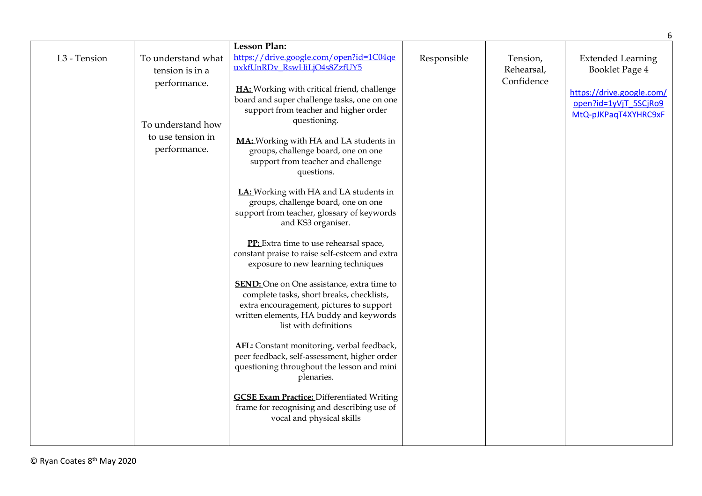|              |                                       | <b>Lesson Plan:</b>                                                                                                                                                                                            |             |                        |                                                                            |
|--------------|---------------------------------------|----------------------------------------------------------------------------------------------------------------------------------------------------------------------------------------------------------------|-------------|------------------------|----------------------------------------------------------------------------|
| L3 - Tension | To understand what<br>tension is in a | https://drive.google.com/open?id=1C04qe<br>uxkfUnRDv_RswHiLjO4s8ZzfUY5                                                                                                                                         | Responsible | Tension,<br>Rehearsal, | <b>Extended Learning</b><br>Booklet Page 4                                 |
|              | performance.<br>To understand how     | HA: Working with critical friend, challenge<br>board and super challenge tasks, one on one<br>support from teacher and higher order<br>questioning.                                                            |             | Confidence             | https://drive.google.com/<br>open?id=1yVjT_5SCjRo9<br>MtQ-pJKPaqT4XYHRC9xF |
|              | to use tension in<br>performance.     | MA: Working with HA and LA students in<br>groups, challenge board, one on one<br>support from teacher and challenge<br>questions.                                                                              |             |                        |                                                                            |
|              |                                       | LA: Working with HA and LA students in<br>groups, challenge board, one on one<br>support from teacher, glossary of keywords<br>and KS3 organiser.                                                              |             |                        |                                                                            |
|              |                                       | PP: Extra time to use rehearsal space,<br>constant praise to raise self-esteem and extra<br>exposure to new learning techniques                                                                                |             |                        |                                                                            |
|              |                                       | <b>SEND:</b> One on One assistance, extra time to<br>complete tasks, short breaks, checklists,<br>extra encouragement, pictures to support<br>written elements, HA buddy and keywords<br>list with definitions |             |                        |                                                                            |
|              |                                       | AFL: Constant monitoring, verbal feedback,<br>peer feedback, self-assessment, higher order<br>questioning throughout the lesson and mini<br>plenaries.                                                         |             |                        |                                                                            |
|              |                                       | <b>GCSE Exam Practice: Differentiated Writing</b><br>frame for recognising and describing use of<br>vocal and physical skills                                                                                  |             |                        |                                                                            |

6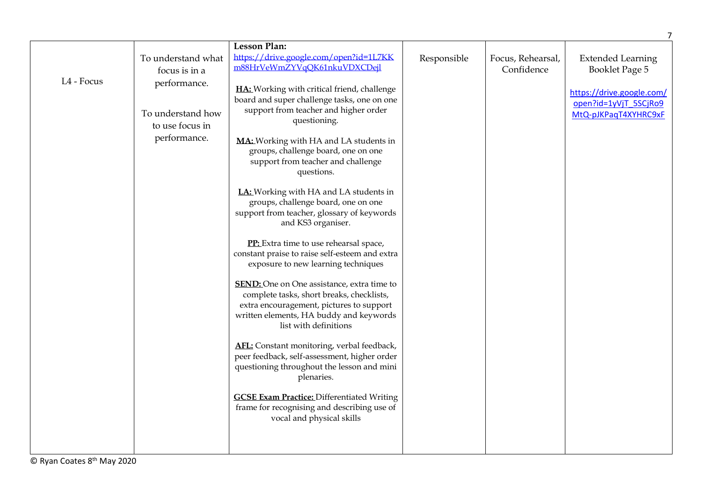|            |                                     | <b>Lesson Plan:</b>                                                                                                                                                                                            |             |                                 | $\overline{7}$                                                             |
|------------|-------------------------------------|----------------------------------------------------------------------------------------------------------------------------------------------------------------------------------------------------------------|-------------|---------------------------------|----------------------------------------------------------------------------|
|            | To understand what<br>focus is in a | https://drive.google.com/open?id=1L7KK<br>m88HrVeWmZYVqQK61nkuVDXCDejl                                                                                                                                         | Responsible | Focus, Rehearsal,<br>Confidence | <b>Extended Learning</b><br>Booklet Page 5                                 |
| L4 - Focus | performance.<br>To understand how   | HA: Working with critical friend, challenge<br>board and super challenge tasks, one on one<br>support from teacher and higher order                                                                            |             |                                 | https://drive.google.com/<br>open?id=1yVjT_5SCjRo9<br>MtQ-pJKPaqT4XYHRC9xF |
|            | to use focus in                     | questioning.                                                                                                                                                                                                   |             |                                 |                                                                            |
|            | performance.                        | MA: Working with HA and LA students in<br>groups, challenge board, one on one<br>support from teacher and challenge<br>questions.                                                                              |             |                                 |                                                                            |
|            |                                     | LA: Working with HA and LA students in<br>groups, challenge board, one on one<br>support from teacher, glossary of keywords<br>and KS3 organiser.                                                              |             |                                 |                                                                            |
|            |                                     | PP: Extra time to use rehearsal space,<br>constant praise to raise self-esteem and extra<br>exposure to new learning techniques                                                                                |             |                                 |                                                                            |
|            |                                     | <b>SEND:</b> One on One assistance, extra time to<br>complete tasks, short breaks, checklists,<br>extra encouragement, pictures to support<br>written elements, HA buddy and keywords<br>list with definitions |             |                                 |                                                                            |
|            |                                     | AFL: Constant monitoring, verbal feedback,<br>peer feedback, self-assessment, higher order<br>questioning throughout the lesson and mini<br>plenaries.                                                         |             |                                 |                                                                            |
|            |                                     | <b>GCSE Exam Practice: Differentiated Writing</b><br>frame for recognising and describing use of<br>vocal and physical skills                                                                                  |             |                                 |                                                                            |
|            |                                     |                                                                                                                                                                                                                |             |                                 |                                                                            |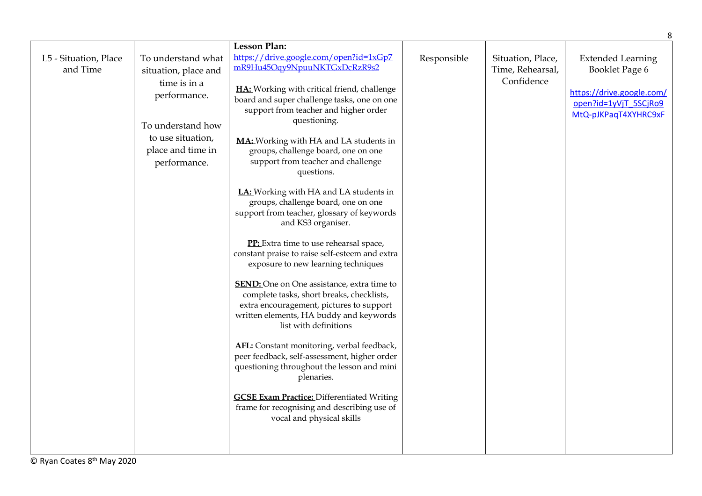|                                   |                                                                                                                                                           |                                                                                                                                                                                                                                                                                                                                                                                                                                                                                                                                                                                                                                                                                                                                                                                                                                                                                                                                                                                                                                                                                                                                                                                                |             |                                                     | 8                                                                                                                        |
|-----------------------------------|-----------------------------------------------------------------------------------------------------------------------------------------------------------|------------------------------------------------------------------------------------------------------------------------------------------------------------------------------------------------------------------------------------------------------------------------------------------------------------------------------------------------------------------------------------------------------------------------------------------------------------------------------------------------------------------------------------------------------------------------------------------------------------------------------------------------------------------------------------------------------------------------------------------------------------------------------------------------------------------------------------------------------------------------------------------------------------------------------------------------------------------------------------------------------------------------------------------------------------------------------------------------------------------------------------------------------------------------------------------------|-------------|-----------------------------------------------------|--------------------------------------------------------------------------------------------------------------------------|
| L5 - Situation, Place<br>and Time | To understand what<br>situation, place and<br>time is in a<br>performance.<br>To understand how<br>to use situation,<br>place and time in<br>performance. | <b>Lesson Plan:</b><br>https://drive.google.com/open?id=1xGp7<br>mR9Hu45Oqy9NpuuNKTGxDcRzR9s2<br>HA: Working with critical friend, challenge<br>board and super challenge tasks, one on one<br>support from teacher and higher order<br>questioning.<br>MA: Working with HA and LA students in<br>groups, challenge board, one on one<br>support from teacher and challenge<br>questions.<br>LA: Working with HA and LA students in<br>groups, challenge board, one on one<br>support from teacher, glossary of keywords<br>and KS3 organiser.<br>PP: Extra time to use rehearsal space,<br>constant praise to raise self-esteem and extra<br>exposure to new learning techniques<br><b>SEND:</b> One on One assistance, extra time to<br>complete tasks, short breaks, checklists,<br>extra encouragement, pictures to support<br>written elements, HA buddy and keywords<br>list with definitions<br>AFL: Constant monitoring, verbal feedback,<br>peer feedback, self-assessment, higher order<br>questioning throughout the lesson and mini<br>plenaries.<br><b>GCSE Exam Practice: Differentiated Writing</b><br>frame for recognising and describing use of<br>vocal and physical skills | Responsible | Situation, Place,<br>Time, Rehearsal,<br>Confidence | <b>Extended Learning</b><br>Booklet Page 6<br>https://drive.google.com/<br>open?id=1yVjT 5SCjRo9<br>MtQ-pJKPaqT4XYHRC9xF |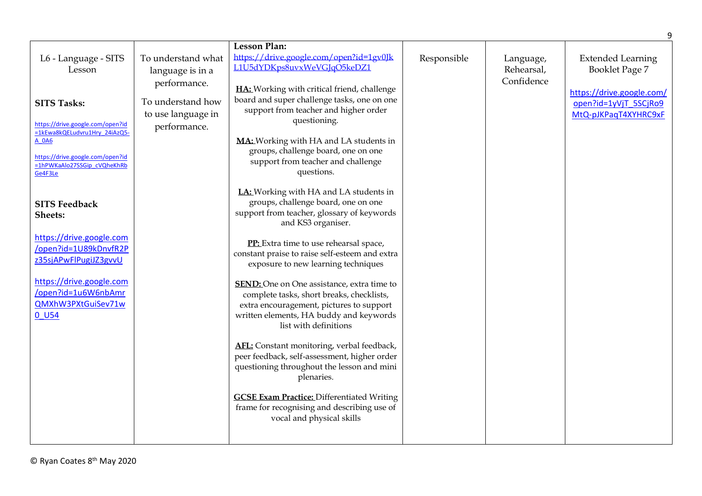|                                                                                                                                                                     |                                                         |                                                                                                                                                                                                                                                                                                                          |             |                                       | 9                                                                       |
|---------------------------------------------------------------------------------------------------------------------------------------------------------------------|---------------------------------------------------------|--------------------------------------------------------------------------------------------------------------------------------------------------------------------------------------------------------------------------------------------------------------------------------------------------------------------------|-------------|---------------------------------------|-------------------------------------------------------------------------|
| L6 - Language - SITS<br>Lesson                                                                                                                                      | To understand what<br>language is in a<br>performance.  | <b>Lesson Plan:</b><br>https://drive.google.com/open?id=1gv0Jk<br>L1U5dYDKps8uvxWeVGJqO5keDZ1<br>HA: Working with critical friend, challenge                                                                                                                                                                             | Responsible | Language,<br>Rehearsal,<br>Confidence | <b>Extended Learning</b><br>Booklet Page 7<br>https://drive.google.com/ |
| <b>SITS Tasks:</b><br>https://drive.google.com/open?id<br>=1kEwa8kQELudvru1Hrv 24iAzQ5-<br>A 0A6<br>https://drive.google.com/open?id<br>=1hPWKaAlo27SSGip_cVQheKhRb | To understand how<br>to use language in<br>performance. | board and super challenge tasks, one on one<br>support from teacher and higher order<br>questioning.<br>MA: Working with HA and LA students in<br>groups, challenge board, one on one<br>support from teacher and challenge                                                                                              |             |                                       | open?id=1yVjT_5SCjRo9<br>MtQ-pJKPaqT4XYHRC9xF                           |
| Ge4F3Le<br><b>SITS Feedback</b><br>Sheets:                                                                                                                          |                                                         | questions.<br>LA: Working with HA and LA students in<br>groups, challenge board, one on one<br>support from teacher, glossary of keywords<br>and KS3 organiser.                                                                                                                                                          |             |                                       |                                                                         |
| https://drive.google.com<br>/open?id=1U89kDnvfR2P<br>z35sjAPwFlPugiJZ3gvvU<br>https://drive.google.com<br>/open?id=1u6W6nbAmr<br>QMXhW3PXtGuiSev71w<br>$0$ U54      |                                                         | PP: Extra time to use rehearsal space,<br>constant praise to raise self-esteem and extra<br>exposure to new learning techniques<br><b>SEND:</b> One on One assistance, extra time to<br>complete tasks, short breaks, checklists,<br>extra encouragement, pictures to support<br>written elements, HA buddy and keywords |             |                                       |                                                                         |
|                                                                                                                                                                     |                                                         | list with definitions<br>AFL: Constant monitoring, verbal feedback,<br>peer feedback, self-assessment, higher order<br>questioning throughout the lesson and mini<br>plenaries.<br><b>GCSE Exam Practice: Differentiated Writing</b><br>frame for recognising and describing use of<br>vocal and physical skills         |             |                                       |                                                                         |
|                                                                                                                                                                     |                                                         |                                                                                                                                                                                                                                                                                                                          |             |                                       |                                                                         |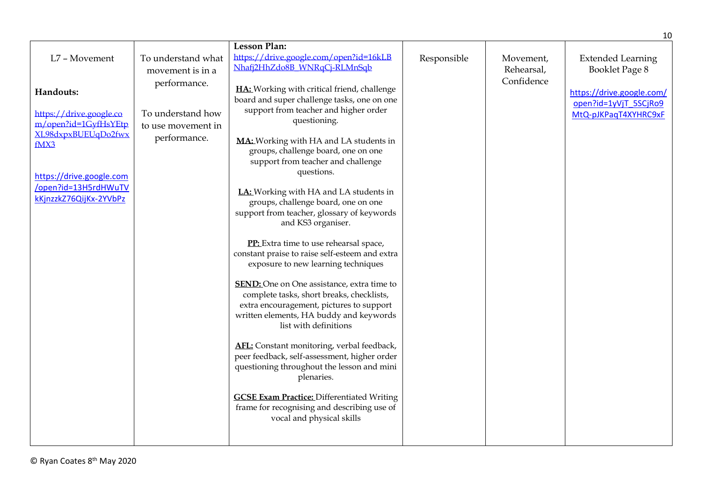|                                                                            |                                                         |                                                                                                                                                                                                                |             |                         | 10                                                                         |
|----------------------------------------------------------------------------|---------------------------------------------------------|----------------------------------------------------------------------------------------------------------------------------------------------------------------------------------------------------------------|-------------|-------------------------|----------------------------------------------------------------------------|
| L7 - Movement                                                              | To understand what                                      | <b>Lesson Plan:</b><br>https://drive.google.com/open?id=16kLB                                                                                                                                                  |             |                         |                                                                            |
|                                                                            | movement is in a                                        | Nhafj2HhZdo8B_WNRqCj-RLMnSqb                                                                                                                                                                                   | Responsible | Movement,<br>Rehearsal, | <b>Extended Learning</b><br>Booklet Page 8                                 |
| Handouts:<br>https://drive.google.co<br>m/open?id=1GyfHsYEtp               | performance.<br>To understand how<br>to use movement in | HA: Working with critical friend, challenge<br>board and super challenge tasks, one on one<br>support from teacher and higher order<br>questioning.                                                            |             | Confidence              | https://drive.google.com/<br>open?id=1yVjT_5SCjRo9<br>MtQ-pJKPaqT4XYHRC9xF |
| XL98dxpxBUEUqDo2fwx<br>fMX3                                                | performance.                                            | MA: Working with HA and LA students in<br>groups, challenge board, one on one<br>support from teacher and challenge<br>questions.                                                                              |             |                         |                                                                            |
| https://drive.google.com<br>/open?id=13H5rdHWuTV<br>kKjnzzkZ76QijKx-2YVbPz |                                                         | LA: Working with HA and LA students in<br>groups, challenge board, one on one<br>support from teacher, glossary of keywords<br>and KS3 organiser.                                                              |             |                         |                                                                            |
|                                                                            |                                                         | PP: Extra time to use rehearsal space,<br>constant praise to raise self-esteem and extra<br>exposure to new learning techniques                                                                                |             |                         |                                                                            |
|                                                                            |                                                         | <b>SEND:</b> One on One assistance, extra time to<br>complete tasks, short breaks, checklists,<br>extra encouragement, pictures to support<br>written elements, HA buddy and keywords<br>list with definitions |             |                         |                                                                            |
|                                                                            |                                                         | AFL: Constant monitoring, verbal feedback,<br>peer feedback, self-assessment, higher order<br>questioning throughout the lesson and mini<br>plenaries.                                                         |             |                         |                                                                            |
|                                                                            |                                                         | <b>GCSE Exam Practice: Differentiated Writing</b><br>frame for recognising and describing use of<br>vocal and physical skills                                                                                  |             |                         |                                                                            |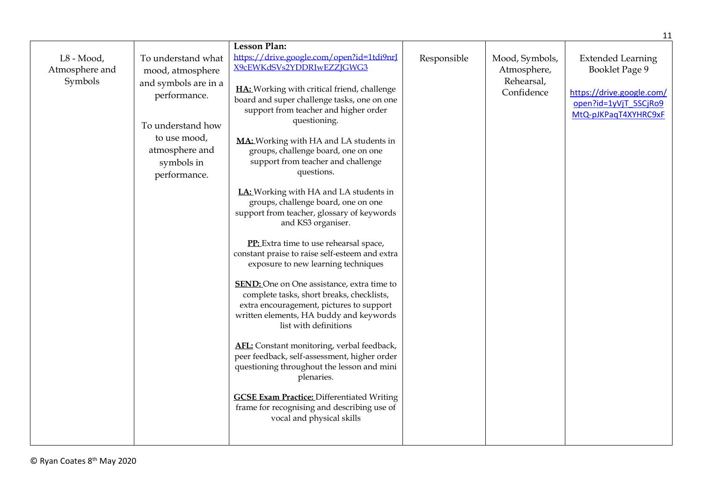|                                           |                                                                                                                                                                     |                                                                                                                                                                                                                                                                                                                                                                                                                                                                                                                                                                                                                                                                                                                                                                                                                                                                                                                                                                                                                                                                                                                                                                                         |             |                                                           | 11                                                                                                                       |
|-------------------------------------------|---------------------------------------------------------------------------------------------------------------------------------------------------------------------|-----------------------------------------------------------------------------------------------------------------------------------------------------------------------------------------------------------------------------------------------------------------------------------------------------------------------------------------------------------------------------------------------------------------------------------------------------------------------------------------------------------------------------------------------------------------------------------------------------------------------------------------------------------------------------------------------------------------------------------------------------------------------------------------------------------------------------------------------------------------------------------------------------------------------------------------------------------------------------------------------------------------------------------------------------------------------------------------------------------------------------------------------------------------------------------------|-------------|-----------------------------------------------------------|--------------------------------------------------------------------------------------------------------------------------|
| $L8 - Mood,$<br>Atmosphere and<br>Symbols | To understand what<br>mood, atmosphere<br>and symbols are in a<br>performance.<br>To understand how<br>to use mood,<br>atmosphere and<br>symbols in<br>performance. | Lesson Plan:<br>https://drive.google.com/open?id=1tdi9nrJ<br>X9cEWKdSVs2YDDRIwEZZJGWG3<br>HA: Working with critical friend, challenge<br>board and super challenge tasks, one on one<br>support from teacher and higher order<br>questioning.<br>MA: Working with HA and LA students in<br>groups, challenge board, one on one<br>support from teacher and challenge<br>questions.<br>LA: Working with HA and LA students in<br>groups, challenge board, one on one<br>support from teacher, glossary of keywords<br>and KS3 organiser.<br>PP: Extra time to use rehearsal space,<br>constant praise to raise self-esteem and extra<br>exposure to new learning techniques<br><b>SEND:</b> One on One assistance, extra time to<br>complete tasks, short breaks, checklists,<br>extra encouragement, pictures to support<br>written elements, HA buddy and keywords<br>list with definitions<br>AFL: Constant monitoring, verbal feedback,<br>peer feedback, self-assessment, higher order<br>questioning throughout the lesson and mini<br>plenaries.<br><b>GCSE Exam Practice: Differentiated Writing</b><br>frame for recognising and describing use of<br>vocal and physical skills | Responsible | Mood, Symbols,<br>Atmosphere,<br>Rehearsal,<br>Confidence | <b>Extended Learning</b><br>Booklet Page 9<br>https://drive.google.com/<br>open?id=1yVjT 5SCjRo9<br>MtQ-pJKPaqT4XYHRC9xF |
|                                           |                                                                                                                                                                     |                                                                                                                                                                                                                                                                                                                                                                                                                                                                                                                                                                                                                                                                                                                                                                                                                                                                                                                                                                                                                                                                                                                                                                                         |             |                                                           |                                                                                                                          |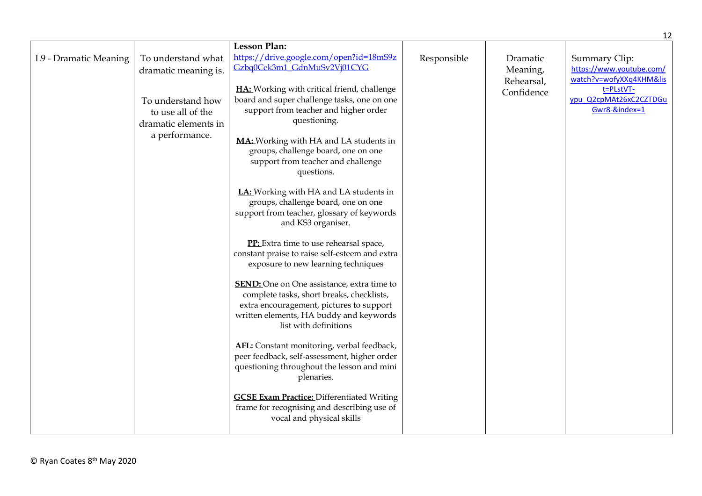|                       |                                                                | <b>Lesson Plan:</b>                                                                                                                                                                                            |             |                                    |                                                                      |
|-----------------------|----------------------------------------------------------------|----------------------------------------------------------------------------------------------------------------------------------------------------------------------------------------------------------------|-------------|------------------------------------|----------------------------------------------------------------------|
| L9 - Dramatic Meaning | To understand what<br>dramatic meaning is.                     | https://drive.google.com/open?id=18mS9z<br>Gzbq0Cek3m1_GdnMuSv2Vj01CYG                                                                                                                                         | Responsible | Dramatic<br>Meaning,<br>Rehearsal, | Summary Clip:<br>https://www.youtube.com/<br>watch?v=wofyXXq4KHM&lis |
|                       | To understand how<br>to use all of the<br>dramatic elements in | HA: Working with critical friend, challenge<br>board and super challenge tasks, one on one<br>support from teacher and higher order<br>questioning.                                                            |             | Confidence                         | t=PLstVT-<br>ypu Q2cpMAt26xC2CZTDGu<br>Gwr8-&index=1                 |
|                       | a performance.                                                 | MA: Working with HA and LA students in<br>groups, challenge board, one on one<br>support from teacher and challenge<br>questions.                                                                              |             |                                    |                                                                      |
|                       |                                                                | LA: Working with HA and LA students in<br>groups, challenge board, one on one<br>support from teacher, glossary of keywords<br>and KS3 organiser.                                                              |             |                                    |                                                                      |
|                       |                                                                | PP: Extra time to use rehearsal space,<br>constant praise to raise self-esteem and extra<br>exposure to new learning techniques                                                                                |             |                                    |                                                                      |
|                       |                                                                | <b>SEND:</b> One on One assistance, extra time to<br>complete tasks, short breaks, checklists,<br>extra encouragement, pictures to support<br>written elements, HA buddy and keywords<br>list with definitions |             |                                    |                                                                      |
|                       |                                                                | AFL: Constant monitoring, verbal feedback,<br>peer feedback, self-assessment, higher order<br>questioning throughout the lesson and mini<br>plenaries.                                                         |             |                                    |                                                                      |
|                       |                                                                | <b>GCSE Exam Practice: Differentiated Writing</b><br>frame for recognising and describing use of<br>vocal and physical skills                                                                                  |             |                                    |                                                                      |